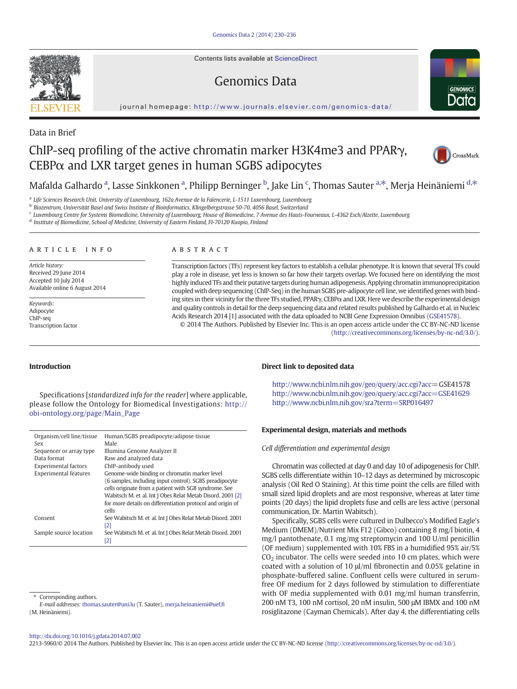Contents lists available at [ScienceDirect](http://www.sciencedirect.com/science/journal/22135960)

# Genomics Data



journal homepage: [http://www.journals.elsevier.com/genomics-data/](http://www.journals.elsevier.com/genomicsata/)

## Data in Brief

# ChIP-seq profiling of the active chromatin marker H3K4me3 and PPARγ,  $CEBP\alpha$  and LXR target genes in human SGBS adipocytes



## Mafalda Galhardo <sup>a</sup>, Lasse Sinkkonen <sup>a</sup>, Philipp Berninger <sup>b</sup>, Jake Lin <sup>c</sup>, Thomas Sauter <sup>a,\*</sup>, Merja Heinäniemi <sup>d,\*</sup>

<sup>a</sup> Life Sciences Research Unit, University of Luxembourg, 162a Avenue de la Faïencerie, L-1511 Luxembourg, Luxembourg

<sup>b</sup> Biozentrum, Universität Basel and Swiss Institute of Bioinformatics, Klingelbergstrasse 50-70, 4056 Basel, Switzerland

<sup>c</sup> Luxembourg Centre for Systems Biomedicine, University of Luxembourg, House of Biomedicine, 7 Avenue des Hauts-Fourneaux, L-4362 Esch/Alzette, Luxembourg

<sup>d</sup> Institute of Biomedicine, School of Medicine, University of Eastern Finland, FI-70120 Kuopio, Finland

#### article info abstract

Article history: Received 29 June 2014 Accepted 10 July 2014 Available online 6 August 2014

Keywords: Adipocyte ChIP-seq Transcription factor

Transcription factors (TFs) represent key factors to establish a cellular phenotype. It is known that several TFs could play a role in disease, yet less is known so far how their targets overlap. We focused here on identifying the most highly induced TFs and their putative targets during human adipogenesis. Applying chromatin immunoprecipitation coupled with deep sequencing (ChIP-Seq) in the human SGBS pre-adipocyte cell line, we identified genes with binding sites in their vicinity for the three TFs studied, PPARγ, CEBPα and LXR. Here we describe the experimental design and quality controls in detail for the deep sequencing data and related results published by Galhardo et al. in Nucleic Acids Research 2014 [1] associated with the data uploaded to NCBI Gene Expression Omnibus ([GSE41578](ncbi-geo:GSE41578)).

© 2014 The Authors. Published by Elsevier Inc. This is an open access article under the CC BY-NC-ND license (<http://creativecommons.org/licenses/by-nc-nd/3.0/>).

#### Introduction

Specifications [standardized info for the reader] where applicable, please follow the Ontology for Biomedical Investigations: [http://](http://obi-ontology.org/page/Main_Page) [obi-ontology.org/page/Main\\_Page](http://obi-ontology.org/page/Main_Page)

| Organism/cell line/tissue    | Human/SGBS preadipocyte/adipose tissue                     |
|------------------------------|------------------------------------------------------------|
| Sex                          | Male                                                       |
| Sequencer or array type      | Illumina Genome Analyzer II                                |
| Data format                  | Raw and analyzed data                                      |
| <b>Experimental factors</b>  | ChIP-antibody used                                         |
| <b>Experimental features</b> | Genome-wide binding or chromatin marker level              |
|                              | (6 samples, including input control). SGBS preadipocyte    |
|                              | cells originate from a patient with SGB syndrome. See      |
|                              | Wabitsch M, et al, Int J Obes Relat Metab Disord, 2001 [2] |
|                              | for more details on differentiation protocol and origin of |
|                              | cells                                                      |
| Consent                      | See Wabitsch M, et al. Int J Obes Relat Metab Disord, 2001 |
|                              | [2]                                                        |
| Sample source location       | See Wabitsch M, et al. Int J Obes Relat Metab Disord, 2001 |
|                              | [2]                                                        |

#### Direct link to deposited data

<http://www.ncbi.nlm.nih.gov/geo/query/acc.cgi?acc>=GSE41578 <http://www.ncbi.nlm.nih.gov/geo/query/acc.cgi?acc=GSE41629> <http://www.ncbi.nlm.nih.gov/sra?term=SRP016497>

#### Experimental design, materials and methods

Cell differentiation and experimental design

Chromatin was collected at day 0 and day 10 of adipogenesis for ChIP. SGBS cells differentiate within 10–12 days as determined by microscopic analysis (Oil Red O Staining). At this time point the cells are filled with small sized lipid droplets and are most responsive, whereas at later time points (20 days) the lipid droplets fuse and cells are less active (personal communication, Dr. Martin Wabitsch).

Specifically, SGBS cells were cultured in Dulbecco's Modified Eagle's Medium (DMEM)/Nutrient Mix F12 (Gibco) containing 8 mg/l biotin, 4 mg/l pantothenate, 0.1 mg/mg streptomycin and 100 U/ml penicillin (OF medium) supplemented with 10% FBS in a humidified 95% air/5%  $CO<sub>2</sub>$  incubator. The cells were seeded into 10 cm plates, which were coated with a solution of 10 μl/ml fibronectin and 0.05% gelatine in phosphate-buffered saline. Confluent cells were cultured in serumfree OF medium for 2 days followed by stimulation to differentiate with OF media supplemented with 0.01 mg/ml human transferrin, 200 nM T3, 100 nM cortisol, 20 nM insulin, 500 μM IBMX and 100 nM rosiglitazone (Cayman Chemicals). After day 4, the differentiating cells

#### <http://dx.doi.org/10.1016/j.gdata.2014.07.002>

2213-5960/© 2014 The Authors. Published by Elsevier Inc. This is an open access article under the CC BY-NC-ND license [\(http://creativecommons.org/licenses/by-nc-nd/3.0/\)](http://creativecommons.org/licenses/by-nc-nd/3.0/).



Corresponding authors.

E-mail addresses: [thomas.sauter@uni.lu](mailto:thomas.sauter@uni.lu) (T. Sauter), [merja.heinaniemi@uef.](mailto:merja.heinaniemi@uef.fi)fi (M. Heinäniemi).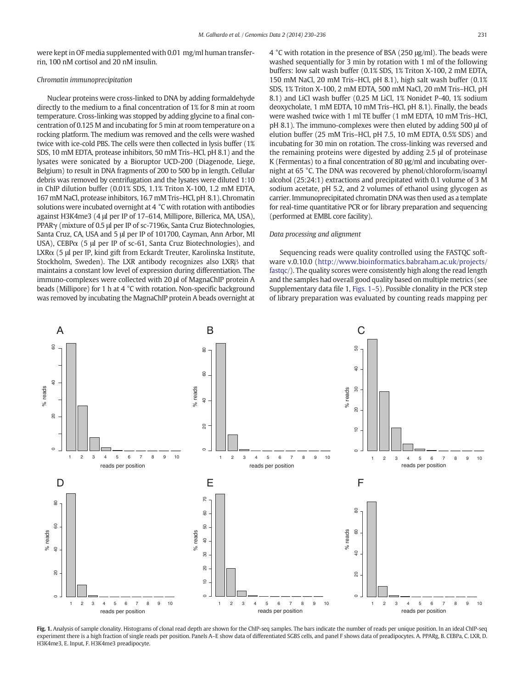<span id="page-1-0"></span>were kept in OF media supplemented with 0.01 mg/ml human transferrin, 100 nM cortisol and 20 nM insulin.

#### Chromatin immunoprecipitation

Nuclear proteins were cross-linked to DNA by adding formaldehyde directly to the medium to a final concentration of 1% for 8 min at room temperature. Cross-linking was stopped by adding glycine to a final concentration of 0.125 M and incubating for 5 min at room temperature on a rocking platform. The medium was removed and the cells were washed twice with ice-cold PBS. The cells were then collected in lysis buffer (1% SDS, 10 mM EDTA, protease inhibitors, 50 mM Tris–HCl, pH 8.1) and the lysates were sonicated by a Bioruptor UCD-200 (Diagenode, Liege, Belgium) to result in DNA fragments of 200 to 500 bp in length. Cellular debris was removed by centrifugation and the lysates were diluted 1:10 in ChIP dilution buffer (0.01% SDS, 1.1% Triton X-100, 1.2 mM EDTA, 167 mM NaCl, protease inhibitors, 16.7 mM Tris–HCl, pH 8.1). Chromatin solutions were incubated overnight at 4 °C with rotation with antibodies against H3K4me3 (4 μl per IP of 17–614, Millipore, Billerica, MA, USA), PPARγ (mixture of 0.5 μl per IP of sc-7196x, Santa Cruz Biotechnologies, Santa Cruz, CA, USA and 5 μl per IP of 101700, Cayman, Ann Arbor, MI USA), CEBP $\alpha$  (5 µl per IP of sc-61, Santa Cruz Biotechnologies), and LXRα (5 μl per IP, kind gift from Eckardt Treuter, Karolinska Institute, Stockholm, Sweden). The LXR antibody recognizes also LXRβ that maintains a constant low level of expression during differentiation. The immuno-complexes were collected with 20 μl of MagnaChIP protein A beads (Millipore) for 1 h at 4 °C with rotation. Non-specific background was removed by incubating the MagnaChIP protein A beads overnight at 4 °C with rotation in the presence of BSA (250 μg/ml). The beads were washed sequentially for 3 min by rotation with 1 ml of the following buffers: low salt wash buffer (0.1% SDS, 1% Triton X-100, 2 mM EDTA, 150 mM NaCl, 20 mM Tris–HCl, pH 8.1), high salt wash buffer (0.1% SDS, 1% Triton X-100, 2 mM EDTA, 500 mM NaCl, 20 mM Tris–HCl, pH 8.1) and LiCl wash buffer (0.25 M LiCl, 1% Nonidet P-40, 1% sodium deoxycholate, 1 mM EDTA, 10 mM Tris–HCl, pH 8.1). Finally, the beads were washed twice with 1 ml TE buffer (1 mM EDTA, 10 mM Tris–HCl, pH 8.1). The immuno-complexes were then eluted by adding 500 μl of elution buffer (25 mM Tris–HCl, pH 7.5, 10 mM EDTA, 0.5% SDS) and incubating for 30 min on rotation. The cross-linking was reversed and the remaining proteins were digested by adding 2.5 μl of proteinase K (Fermentas) to a final concentration of 80 μg/ml and incubating overnight at 65 °C. The DNA was recovered by phenol/chloroform/isoamyl alcohol (25:24:1) extractions and precipitated with 0.1 volume of 3 M sodium acetate, pH 5.2, and 2 volumes of ethanol using glycogen as carrier. Immunoprecipitated chromatin DNA was then used as a template for real-time quantitative PCR or for library preparation and sequencing (performed at EMBL core facility).

#### Data processing and alignment

Sequencing reads were quality controlled using the FASTQC software v.0.10.0 [\(http://www.bioinformatics.babraham.ac.uk/projects/](http://www.bioinformatics.babraham.ac.uk/projects/fastqc/) [fastqc/](http://www.bioinformatics.babraham.ac.uk/projects/fastqc/)). The quality scores were consistently high along the read length and the samples had overall good quality based on multiple metrics (see Supplementary data file 1, Figs. 1–5). Possible clonality in the PCR step of library preparation was evaluated by counting reads mapping per



Fig. 1. Analysis of sample clonality. Histograms of clonal read depth are shown for the ChIP-seq samples. The bars indicate the number of reads per unique position. In an ideal ChIP-seq experiment there is a high fraction of single reads per position. Panels A–E show data of differentiated SGBS cells, and panel F shows data of preadipocytes. A. PPARg, B. CEBPa, C. LXR, D. H3K4me3, E. Input, F. H3K4me3 preadipocyte.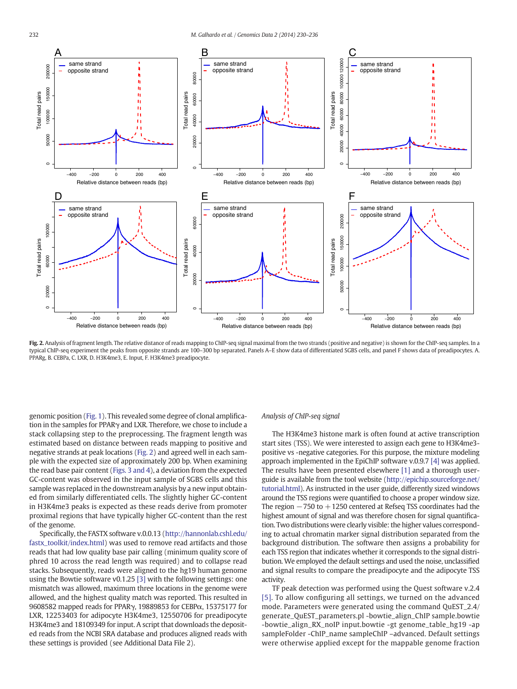

Fig. 2. Analysis of fragment length. The relative distance of reads mapping to ChIP-seq signal maximal from the two strands (positive and negative) is shown for the ChIP-seq samples. In a typical ChIP-seq experiment the peaks from opposite strands are 100–300 bp separated. Panels A–E show data of differentiated SGBS cells, and panel F shows data of preadipocytes. A. PPARg, B. CEBPa, C. LXR, D. H3K4me3, E. Input, F. H3K4me3 preadipocyte.

genomic position [\(Fig. 1](#page-1-0)). This revealed some degree of clonal amplification in the samples for PPARγ and LXR. Therefore, we chose to include a stack collapsing step to the preprocessing. The fragment length was estimated based on distance between reads mapping to positive and negative strands at peak locations (Fig. 2) and agreed well in each sample with the expected size of approximately 200 bp. When examining the read base pair content [\(Figs. 3 and 4\)](#page-3-0), a deviation from the expected GC-content was observed in the input sample of SGBS cells and this sample was replaced in the downstream analysis by a new input obtained from similarly differentiated cells. The slightly higher GC-content in H3K4me3 peaks is expected as these reads derive from promoter proximal regions that have typically higher GC-content than the rest of the genome.

Specifically, the FASTX software v.0.0.13 [\(http://hannonlab.cshl.edu/](http://hannonlab.cshl.edu/fastx_toolkit/index.html) [fastx\\_toolkit/index.html](http://hannonlab.cshl.edu/fastx_toolkit/index.html)) was used to remove read artifacts and those reads that had low quality base pair calling (minimum quality score of phred 10 across the read length was required) and to collapse read stacks. Subsequently, reads were aligned to the hg19 human genome using the Bowtie software v0.1.25 [\[3\]](#page-4-0) with the following settings: one mismatch was allowed, maximum three locations in the genome were allowed, and the highest quality match was reported. This resulted in 9608582 mapped reads for PPARγ, 19889853 for CEBPα, 15375177 for LXR, 12253403 for adipocyte H3K4me3, 12550706 for preadipocyte H3K4me3 and 18109349 for input. A script that downloads the deposited reads from the NCBI SRA database and produces aligned reads with these settings is provided (see Additional Data File 2).

#### Analysis of ChIP-seq signal

The H3K4me3 histone mark is often found at active transcription start sites (TSS). We were interested to assign each gene to H3K4me3 positive vs -negative categories. For this purpose, the mixture modeling approach implemented in the EpiChIP software v.0.9.7 [\[4\]](#page-4-0) was applied. The results have been presented elsewhere [\[1\]](#page-4-0) and a thorough userguide is available from the tool website [\(http://epichip.sourceforge.net/](http://epichip.sourceforge.net/tutorial.html) [tutorial.html\)](http://epichip.sourceforge.net/tutorial.html). As instructed in the user guide, differently sized windows around the TSS regions were quantified to choose a proper window size. The region  $-750$  to  $+1250$  centered at Refseq TSS coordinates had the highest amount of signal and was therefore chosen for signal quantification. Two distributions were clearly visible: the higher values corresponding to actual chromatin marker signal distribution separated from the background distribution. The software then assigns a probability for each TSS region that indicates whether it corresponds to the signal distribution. We employed the default settings and used the noise, unclassified and signal results to compare the preadipocyte and the adipocyte TSS activity.

TF peak detection was performed using the Quest software v.2.4 [\[5\].](#page-4-0) To allow configuring all settings, we turned on the advanced mode. Parameters were generated using the command QuEST\_2.4/ generate\_QuEST\_parameters.pl -bowtie\_align\_ChIP sample.bowtie -bowtie\_align\_RX\_noIP input.bowtie -gt genome\_table\_hg19 -ap sampleFolder -ChIP\_name sampleChIP –advanced. Default settings were otherwise applied except for the mappable genome fraction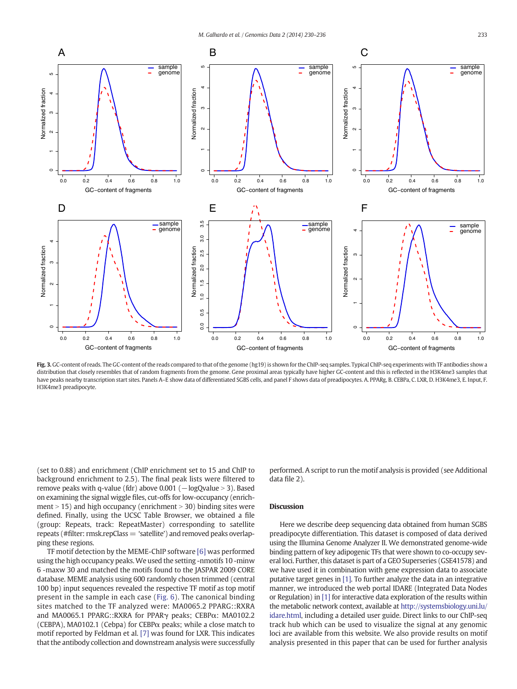<span id="page-3-0"></span>

Fig. 3. GC-content of reads. The GC-content of the reads compared to that of the genome (hg19) is shown for the ChIP-seq samples. Typical ChIP-seq experiments with TF antibodies show a distribution that closely resembles that of random fragments from the genome. Gene proximal areas typically have higher GC-content and this is reflected in the H3K4me3 samples that have peaks nearby transcription start sites. Panels A-E show data of differentiated SGBS cells, and panel F shows data of preadipocytes. A. PPARg, B. CEBPa, C. LXR, D. H3K4me3, E. Input, F. H3K4me3 preadipocyte.

(set to 0.88) and enrichment (ChIP enrichment set to 15 and ChIP to background enrichment to 2.5). The final peak lists were filtered to remove peaks with q-value (fdr) above  $0.001$  ( $-\log$ Qvalue > 3). Based on examining the signal wiggle files, cut-offs for low-occupancy (enrichment  $> 15$ ) and high occupancy (enrichment  $> 30$ ) binding sites were defined. Finally, using the UCSC Table Browser, we obtained a file (group: Repeats, track: RepeatMaster) corresponding to satellite repeats (#filter: rmsk.repClass = 'satellite') and removed peaks overlapping these regions.

TF motif detection by the MEME-ChIP software [\[6\]](#page-4-0) was performed using the high occupancy peaks.We used the setting -nmotifs 10 -minw 6 -maxw 30 and matched the motifs found to the JASPAR 2009 CORE database. MEME analysis using 600 randomly chosen trimmed (central 100 bp) input sequences revealed the respective TF motif as top motif present in the sample in each case ([Fig. 6](#page-6-0)). The canonical binding sites matched to the TF analyzed were: MA0065.2 PPARG::RXRA and MA0065.1 PPARG::RXRA for PPARγ peaks; CEBPα: MA0102.2 (CEBPA), MA0102.1 (Cebpa) for CEBPα peaks; while a close match to motif reported by Feldman et al. [\[7\]](#page-4-0) was found for LXR. This indicates that the antibody collection and downstream analysis were successfully performed. A script to run the motif analysis is provided (see Additional data file 2).

#### Discussion

Here we describe deep sequencing data obtained from human SGBS preadipocyte differentiation. This dataset is composed of data derived using the Illumina Genome Analyzer II. We demonstrated genome-wide binding pattern of key adipogenic TFs that were shown to co-occupy several loci. Further, this dataset is part of a GEO Superseries (GSE41578) and we have used it in combination with gene expression data to associate putative target genes in [\[1\]](#page-4-0). To further analyze the data in an integrative manner, we introduced the web portal IDARE (Integrated Data Nodes or Regulation) in [\[1\]](#page-4-0) for interactive data exploration of the results within the metabolic network context, available at [http://systemsbiology.uni.lu/](http://systemsbiology.uni.lu/idare.html) [idare.html](http://systemsbiology.uni.lu/idare.html), including a detailed user guide. Direct links to our ChIP-seq track hub which can be used to visualize the signal at any genomic loci are available from this website. We also provide results on motif analysis presented in this paper that can be used for further analysis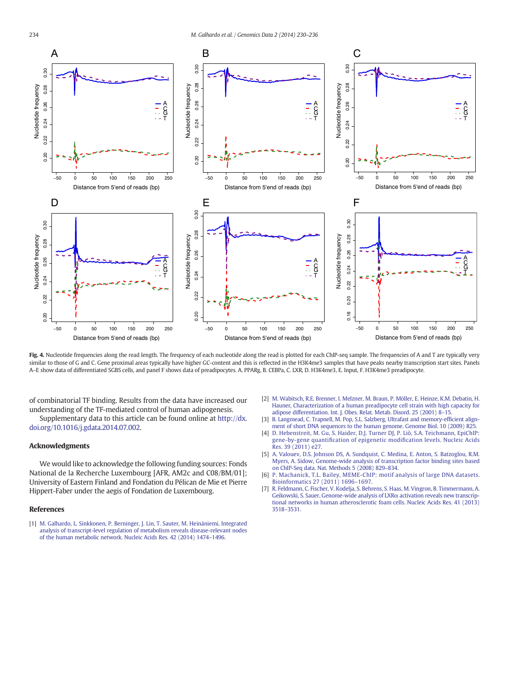<span id="page-4-0"></span>

Fig. 4. Nucleotide frequencies along the read length. The frequency of each nucleotide along the read is plotted for each ChIP-seq sample. The frequencies of A and T are typically very similar to those of G and C. Gene proximal areas typically have higher GC-content and this is reflected in the H3K4me3 samples that have peaks nearby transcription start sites. Panels A–E show data of differentiated SGBS cells, and panel F shows data of preadipocytes. A. PPARg, B. CEBPa, C. LXR, D. H3K4me3, E. Input, F. H3K4me3 preadipocyte.

of combinatorial TF binding. Results from the data have increased our understanding of the TF-mediated control of human adipogenesis. Supplementary data to this article can be found online at [http://dx.](http://dx.doi.org/10.1016/j.gdata.2014.07.002)

[doi.org/10.1016/j.gdata.2014.07.002](http://dx.doi.org/10.1016/j.gdata.2014.07.002).

### Acknowledgments

We would like to acknowledge the following funding sources: Fonds National de la Recherche Luxembourg [AFR, AM2c and C08/BM/01]; University of Eastern Finland and Fondation du Pélican de Mie et Pierre Hippert-Faber under the aegis of Fondation de Luxembourg.

#### References

[1] [M. Galhardo, L. Sinkkonen, P. Berninger, J. Lin, T. Sauter, M. Heinäniemi, Integrated](http://refhub.elsevier.com/S2213-5960(14)00059-2/rf0005) [analysis of transcript-level regulation of metabolism reveals disease-relevant nodes](http://refhub.elsevier.com/S2213-5960(14)00059-2/rf0005) [of the human metabolic network. Nucleic Acids Res. 42 \(2014\) 1474](http://refhub.elsevier.com/S2213-5960(14)00059-2/rf0005)–1496.

- [2] [M. Wabitsch, R.E. Brenner, I. Melzner, M. Braun, P. Möller, E. Heinze, K.M. Debatin, H.](http://refhub.elsevier.com/S2213-5960(14)00059-2/rf0035) [Hauner, Characterization of a human preadipocyte cell strain with high capacity for](http://refhub.elsevier.com/S2213-5960(14)00059-2/rf0035) [adipose differentiation. Int. J. Obes. Relat. Metab. Disord. 25 \(2001\) 8](http://refhub.elsevier.com/S2213-5960(14)00059-2/rf0035)–15.
- [3] [B. Langmead, C. Trapnell, M. Pop, S.L. Salzberg, Ultrafast and memory-ef](http://refhub.elsevier.com/S2213-5960(14)00059-2/rf0010)ficient align[ment of short DNA sequences to the human genome. Genome Biol. 10 \(2009\) R25](http://refhub.elsevier.com/S2213-5960(14)00059-2/rf0010).
- [4] [D. Hebenstreit, M. Gu, S. Haider, D.J. Turner DJ, P. Liò, S.A. Teichmann, EpiChIP:](http://refhub.elsevier.com/S2213-5960(14)00059-2/rf0040) gene-by-gene quantification of epigenetic modifi[cation levels. Nucleic Acids](http://refhub.elsevier.com/S2213-5960(14)00059-2/rf0040) [Res. 39 \(2011\) e27.](http://refhub.elsevier.com/S2213-5960(14)00059-2/rf0040)
- [5] [A. Valouev, D.S. Johnson DS, A. Sundquist, C. Medina, E. Anton, S. Batzoglou, R.M.](http://refhub.elsevier.com/S2213-5960(14)00059-2/rf0045) [Myers, A. Sidow, Genome-wide analysis of transcription factor binding sites based](http://refhub.elsevier.com/S2213-5960(14)00059-2/rf0045) [on ChIP-Seq data. Nat. Methods 5 \(2008\) 829](http://refhub.elsevier.com/S2213-5960(14)00059-2/rf0045)–834.
- [6] [P. Machanick, T.L. Bailey, MEME-ChIP: motif analysis of large DNA datasets.](http://refhub.elsevier.com/S2213-5960(14)00059-2/rf0025) [Bioinformatics 27 \(2011\) 1696](http://refhub.elsevier.com/S2213-5960(14)00059-2/rf0025)–1697.
- [7] [R. Feldmann, C. Fischer, V. Kodelja, S. Behrens, S. Haas, M. Vingron, B. Timmermann, A.](http://refhub.elsevier.com/S2213-5960(14)00059-2/rf0030) [Geikowski, S. Sauer, Genome-wide analysis of LXR](http://refhub.elsevier.com/S2213-5960(14)00059-2/rf0030)α activation reveals new transcrip[tional networks in human atherosclerotic foam cells. Nucleic Acids Res. 41 \(2013\)](http://refhub.elsevier.com/S2213-5960(14)00059-2/rf0030) 3518–[3531.](http://refhub.elsevier.com/S2213-5960(14)00059-2/rf0030)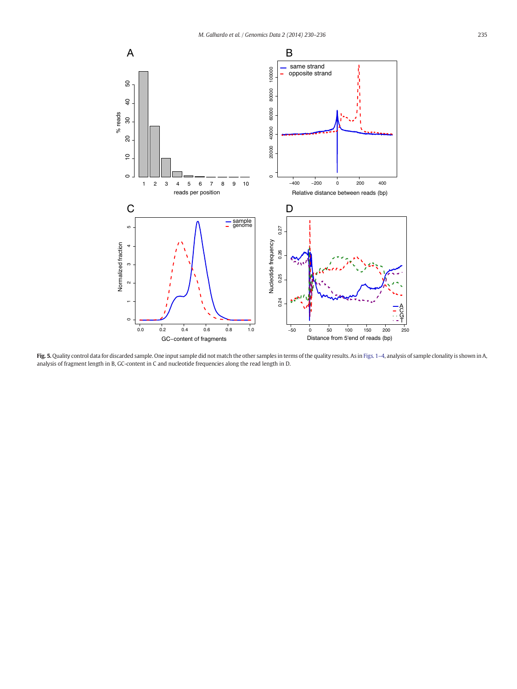

**Fig. 5.** Quality control data for discarded sample. One input sample did not match the other samples in terms of the quality results. As in [Figs. 1](#page-1-0)–4, analysis of sample clonality is shown in A, analysis of fragment length in B, GC-content in C and nucleotide frequencies along the read length in D.